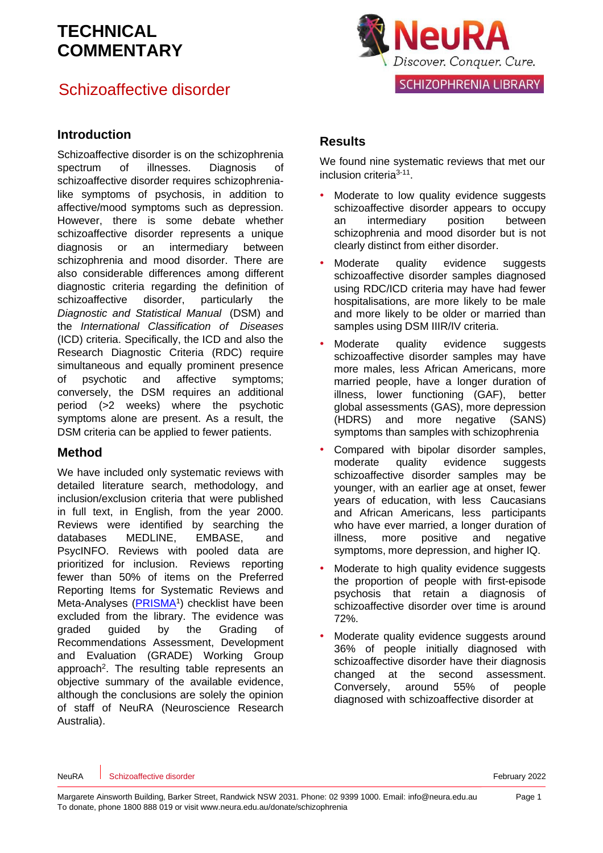### Schizoaffective disorder



### **Introduction**

Schizoaffective disorder is on the schizophrenia spectrum of illnesses. Diagnosis of schizoaffective disorder requires schizophrenialike symptoms of psychosis, in addition to affective/mood symptoms such as depression. However, there is some debate whether schizoaffective disorder represents a unique diagnosis or an intermediary between schizophrenia and mood disorder. There are also considerable differences among different diagnostic criteria regarding the definition of schizoaffective disorder, particularly the *Diagnostic and Statistical Manual* (DSM) and the *International Classification of Diseases* (ICD) criteria. Specifically, the ICD and also the Research Diagnostic Criteria (RDC) require simultaneous and equally prominent presence of psychotic and affective symptoms; conversely, the DSM requires an additional period (>2 weeks) where the psychotic symptoms alone are present. As a result, the DSM criteria can be applied to fewer patients.

### **Method**

We have included only systematic reviews with detailed literature search, methodology, and inclusion/exclusion criteria that were published in full text, in English, from the year 2000. Reviews were identified by searching the databases MEDLINE, EMBASE, and PsycINFO. Reviews with pooled data are prioritized for inclusion. Reviews reporting fewer than 50% of items on the Preferred Reporting Items for Systematic Reviews and Meta-Analyses (**PRISMA**<sup>1</sup>) checklist have been excluded from the library. The evidence was graded guided by the Grading of Recommendations Assessment, Development and Evaluation [\(GRADE\)](http://www.gradeworkinggroup.org/) Working Group approach<sup>2</sup>. The resulting table represents an objective summary of the available evidence, although the conclusions are solely the opinion of staff of NeuRA (Neuroscience Research Australia).

### **Results**

We found nine systematic reviews that met our inclusion criteria<sup>3-11</sup>.

- Moderate to low quality evidence suggests schizoaffective disorder appears to occupy an intermediary position between schizophrenia and mood disorder but is not clearly distinct from either disorder.
- Moderate quality evidence suggests schizoaffective disorder samples diagnosed using RDC/ICD criteria may have had fewer hospitalisations, are more likely to be male and more likely to be older or married than samples using DSM IIIR/IV criteria.
- Moderate quality evidence suggests schizoaffective disorder samples may have more males, less African Americans, more married people, have a longer duration of illness, lower functioning (GAF), better global assessments (GAS), more depression (HDRS) and more negative (SANS) symptoms than samples with schizophrenia
- Compared with bipolar disorder samples, moderate quality evidence suggests schizoaffective disorder samples may be younger, with an earlier age at onset, fewer years of education, with less Caucasians and African Americans, less participants who have ever married, a longer duration of illness, more positive and negative symptoms, more depression, and higher IQ.
- Moderate to high quality evidence suggests the proportion of people with first-episode psychosis that retain a diagnosis of schizoaffective disorder over time is around 72%.
- Moderate quality evidence suggests around 36% of people initially diagnosed with schizoaffective disorder have their diagnosis changed at the second assessment. Conversely, around 55% of people diagnosed with schizoaffective disorder at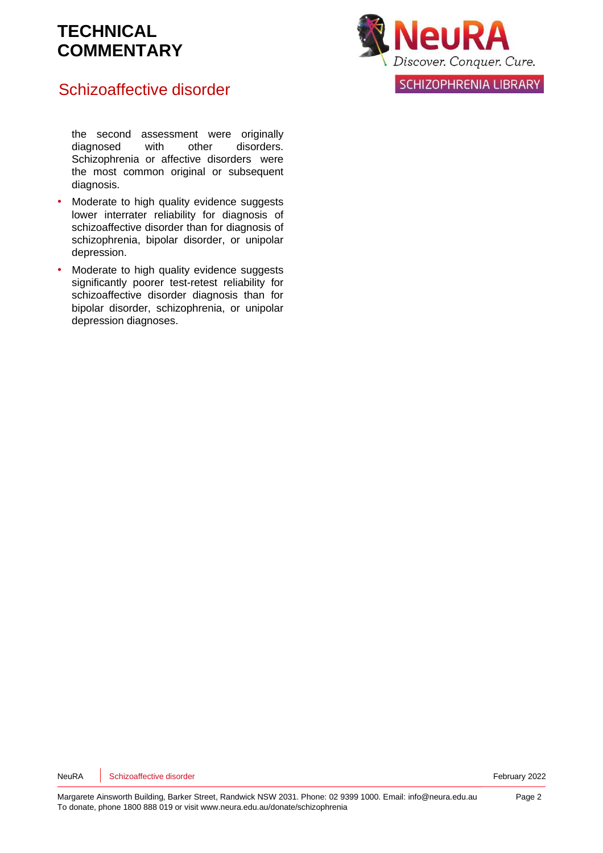Schizoaffective disorder



### **SCHIZOPHRENIA LIBRARY**

the second assessment were originally diagnosed with other disorders. Schizophrenia or affective disorders were the most common original or subsequent diagnosis.

- Moderate to high quality evidence suggests lower interrater reliability for diagnosis of schizoaffective disorder than for diagnosis of schizophrenia, bipolar disorder, or unipolar depression.
- Moderate to high quality evidence suggests significantly poorer test-retest reliability for schizoaffective disorder diagnosis than for bipolar disorder, schizophrenia, or unipolar depression diagnoses.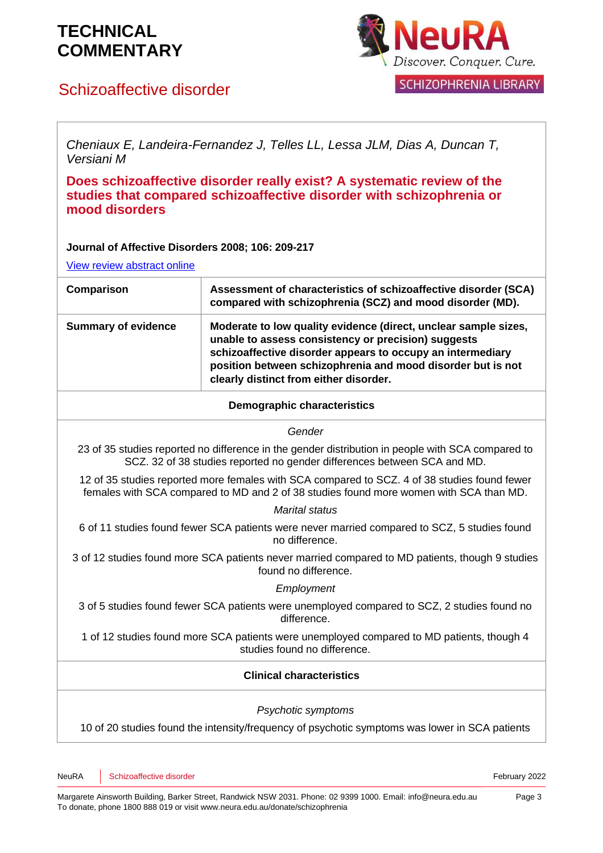### Schizoaffective disorder



*Cheniaux E, Landeira-Fernandez J, Telles LL, Lessa JLM, Dias A, Duncan T, Versiani M*

**Does schizoaffective disorder really exist? A systematic review of the studies that compared schizoaffective disorder with schizophrenia or mood disorders**

### **Journal of Affective Disorders 2008; 106: 209-217**

View review [abstract](http://www.ncbi.nlm.nih.gov/pubmed/17719092) online

| Comparison                 | Assessment of characteristics of schizoaffective disorder (SCA)<br>compared with schizophrenia (SCZ) and mood disorder (MD).                                                                                                                                                                  |
|----------------------------|-----------------------------------------------------------------------------------------------------------------------------------------------------------------------------------------------------------------------------------------------------------------------------------------------|
| <b>Summary of evidence</b> | Moderate to low quality evidence (direct, unclear sample sizes,<br>unable to assess consistency or precision) suggests<br>schizoaffective disorder appears to occupy an intermediary<br>position between schizophrenia and mood disorder but is not<br>clearly distinct from either disorder. |
|                            |                                                                                                                                                                                                                                                                                               |

#### **Demographic characteristics**

#### *Gender*

23 of 35 studies reported no difference in the gender distribution in people with SCA compared to SCZ. 32 of 38 studies reported no gender differences between SCA and MD.

12 of 35 studies reported more females with SCA compared to SCZ. 4 of 38 studies found fewer females with SCA compared to MD and 2 of 38 studies found more women with SCA than MD.

#### *Marital status*

6 of 11 studies found fewer SCA patients were never married compared to SCZ, 5 studies found no difference.

3 of 12 studies found more SCA patients never married compared to MD patients, though 9 studies found no difference.

#### *Employment*

3 of 5 studies found fewer SCA patients were unemployed compared to SCZ, 2 studies found no difference.

1 of 12 studies found more SCA patients were unemployed compared to MD patients, though 4 studies found no difference.

#### **Clinical characteristics**

#### *Psychotic symptoms*

10 of 20 studies found the intensity/frequency of psychotic symptoms was lower in SCA patients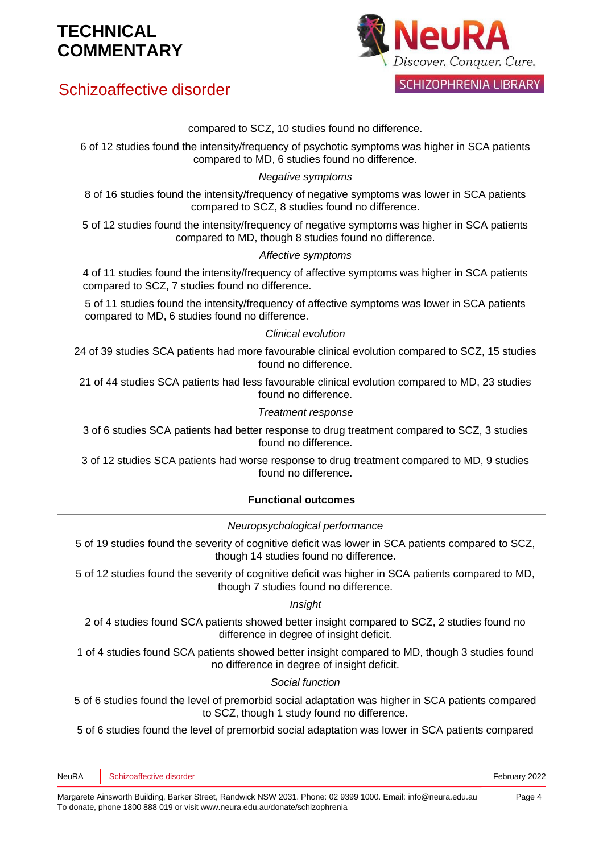## Schizoaffective disorder



### SCHIZOPHRENIA LIBRARY

| compared to SCZ, 10 studies found no difference.                                                                                                       |
|--------------------------------------------------------------------------------------------------------------------------------------------------------|
| 6 of 12 studies found the intensity/frequency of psychotic symptoms was higher in SCA patients<br>compared to MD, 6 studies found no difference.       |
| Negative symptoms                                                                                                                                      |
| 8 of 16 studies found the intensity/frequency of negative symptoms was lower in SCA patients<br>compared to SCZ, 8 studies found no difference.        |
| 5 of 12 studies found the intensity/frequency of negative symptoms was higher in SCA patients<br>compared to MD, though 8 studies found no difference. |
| Affective symptoms                                                                                                                                     |
| 4 of 11 studies found the intensity/frequency of affective symptoms was higher in SCA patients<br>compared to SCZ, 7 studies found no difference.      |
| 5 of 11 studies found the intensity/frequency of affective symptoms was lower in SCA patients<br>compared to MD, 6 studies found no difference.        |
| Clinical evolution                                                                                                                                     |
| 24 of 39 studies SCA patients had more favourable clinical evolution compared to SCZ, 15 studies<br>found no difference.                               |
| 21 of 44 studies SCA patients had less favourable clinical evolution compared to MD, 23 studies<br>found no difference.                                |
| <b>Treatment response</b>                                                                                                                              |
| 3 of 6 studies SCA patients had better response to drug treatment compared to SCZ, 3 studies<br>found no difference.                                   |
| 3 of 12 studies SCA patients had worse response to drug treatment compared to MD, 9 studies<br>found no difference.                                    |
| <b>Functional outcomes</b>                                                                                                                             |
| Neuropsychological performance                                                                                                                         |
| 5 of 19 studies found the severity of cognitive deficit was lower in SCA patients compared to SCZ,<br>though 14 studies found no difference.           |
| 5 of 12 studies found the severity of cognitive deficit was higher in SCA patients compared to MD,<br>though 7 studies found no difference.            |
| Insight                                                                                                                                                |
| 2 of 4 studies found SCA patients showed better insight compared to SCZ, 2 studies found no<br>difference in degree of insight deficit.                |
| 1 of 4 studies found SCA patients showed better insight compared to MD, though 3 studies found<br>no difference in degree of insight deficit.          |
| Social function                                                                                                                                        |
| 5 of 6 studies found the level of premorbid social adaptation was higher in SCA patients compared<br>to SCZ, though 1 study found no difference.       |
| 5 of 6 studies found the level of premorbid social adaptation was lower in SCA patients compared                                                       |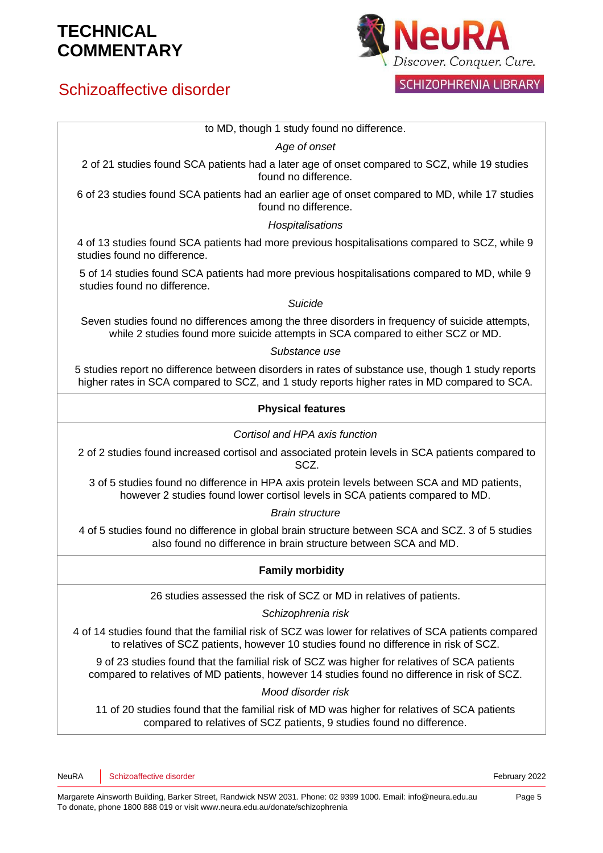## Schizoaffective disorder



### **SCHIZOPHRENIA LIBRARY**

#### to MD, though 1 study found no difference.

*Age of onset*

2 of 21 studies found SCA patients had a later age of onset compared to SCZ, while 19 studies found no difference.

6 of 23 studies found SCA patients had an earlier age of onset compared to MD, while 17 studies found no difference.

#### *Hospitalisations*

4 of 13 studies found SCA patients had more previous hospitalisations compared to SCZ, while 9 studies found no difference.

5 of 14 studies found SCA patients had more previous hospitalisations compared to MD, while 9 studies found no difference.

*Suicide*

Seven studies found no differences among the three disorders in frequency of suicide attempts, while 2 studies found more suicide attempts in SCA compared to either SCZ or MD.

#### *Substance use*

5 studies report no difference between disorders in rates of substance use, though 1 study reports higher rates in SCA compared to SCZ, and 1 study reports higher rates in MD compared to SCA.

#### **Physical features**

#### *Cortisol and HPA axis function*

2 of 2 studies found increased cortisol and associated protein levels in SCA patients compared to SCZ.

3 of 5 studies found no difference in HPA axis protein levels between SCA and MD patients, however 2 studies found lower cortisol levels in SCA patients compared to MD.

*Brain structure*

4 of 5 studies found no difference in global brain structure between SCA and SCZ. 3 of 5 studies also found no difference in brain structure between SCA and MD.

#### **Family morbidity**

26 studies assessed the risk of SCZ or MD in relatives of patients.

#### *Schizophrenia risk*

4 of 14 studies found that the familial risk of SCZ was lower for relatives of SCA patients compared to relatives of SCZ patients, however 10 studies found no difference in risk of SCZ.

9 of 23 studies found that the familial risk of SCZ was higher for relatives of SCA patients compared to relatives of MD patients, however 14 studies found no difference in risk of SCZ.

#### *Mood disorder risk*

11 of 20 studies found that the familial risk of MD was higher for relatives of SCA patients compared to relatives of SCZ patients, 9 studies found no difference.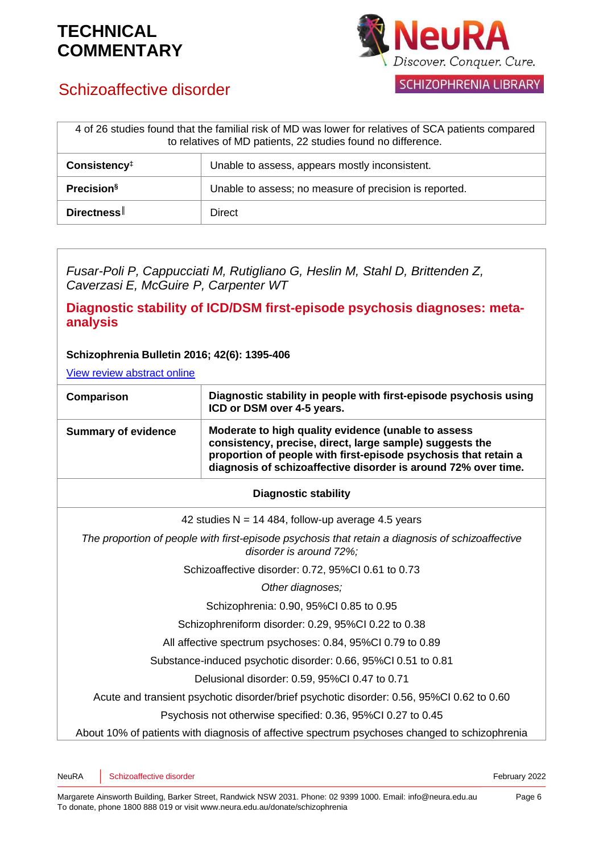

### Schizoaffective disorder

**SCHIZOPHRENIA LIBRARY** 

| 4 of 26 studies found that the familial risk of MD was lower for relatives of SCA patients compared<br>to relatives of MD patients, 22 studies found no difference. |                                                        |
|---------------------------------------------------------------------------------------------------------------------------------------------------------------------|--------------------------------------------------------|
| Consistency <sup>‡</sup>                                                                                                                                            | Unable to assess, appears mostly inconsistent.         |
| <b>Precision</b> §                                                                                                                                                  | Unable to assess; no measure of precision is reported. |
| Directness                                                                                                                                                          | <b>Direct</b>                                          |

*Fusar-Poli P, Cappucciati M, Rutigliano G, Heslin M, Stahl D, Brittenden Z, Caverzasi E, McGuire P, Carpenter WT*

**Diagnostic stability of ICD/DSM first-episode psychosis diagnoses: metaanalysis**

#### **Schizophrenia Bulletin 2016; 42(6): 1395-406**

View review [abstract](https://www.ncbi.nlm.nih.gov/pubmed/26980142) online

| Comparison                                                                                    | Diagnostic stability in people with first-episode psychosis using<br>ICD or DSM over 4-5 years.                                                                                                                                                      |
|-----------------------------------------------------------------------------------------------|------------------------------------------------------------------------------------------------------------------------------------------------------------------------------------------------------------------------------------------------------|
| <b>Summary of evidence</b>                                                                    | Moderate to high quality evidence (unable to assess<br>consistency, precise, direct, large sample) suggests the<br>proportion of people with first-episode psychosis that retain a<br>diagnosis of schizoaffective disorder is around 72% over time. |
|                                                                                               | <b>Diagnostic stability</b>                                                                                                                                                                                                                          |
|                                                                                               | 42 studies $N = 14$ 484, follow-up average 4.5 years                                                                                                                                                                                                 |
|                                                                                               | The proportion of people with first-episode psychosis that retain a diagnosis of schizoaffective<br>disorder is around 72%;                                                                                                                          |
| Schizoaffective disorder: 0.72, 95%CI 0.61 to 0.73                                            |                                                                                                                                                                                                                                                      |
| Other diagnoses;                                                                              |                                                                                                                                                                                                                                                      |
| Schizophrenia: 0.90, 95%CI 0.85 to 0.95                                                       |                                                                                                                                                                                                                                                      |
| Schizophreniform disorder: 0.29, 95%CI 0.22 to 0.38                                           |                                                                                                                                                                                                                                                      |
| All affective spectrum psychoses: 0.84, 95%CI 0.79 to 0.89                                    |                                                                                                                                                                                                                                                      |
| Substance-induced psychotic disorder: 0.66, 95%CI 0.51 to 0.81                                |                                                                                                                                                                                                                                                      |
| Delusional disorder: 0.59, 95%Cl 0.47 to 0.71                                                 |                                                                                                                                                                                                                                                      |
| Acute and transient psychotic disorder/brief psychotic disorder: 0.56, 95%CI 0.62 to 0.60     |                                                                                                                                                                                                                                                      |
| Psychosis not otherwise specified: 0.36, 95%CI 0.27 to 0.45                                   |                                                                                                                                                                                                                                                      |
| About 10% of patients with diagnosis of affective spectrum psychoses changed to schizophrenia |                                                                                                                                                                                                                                                      |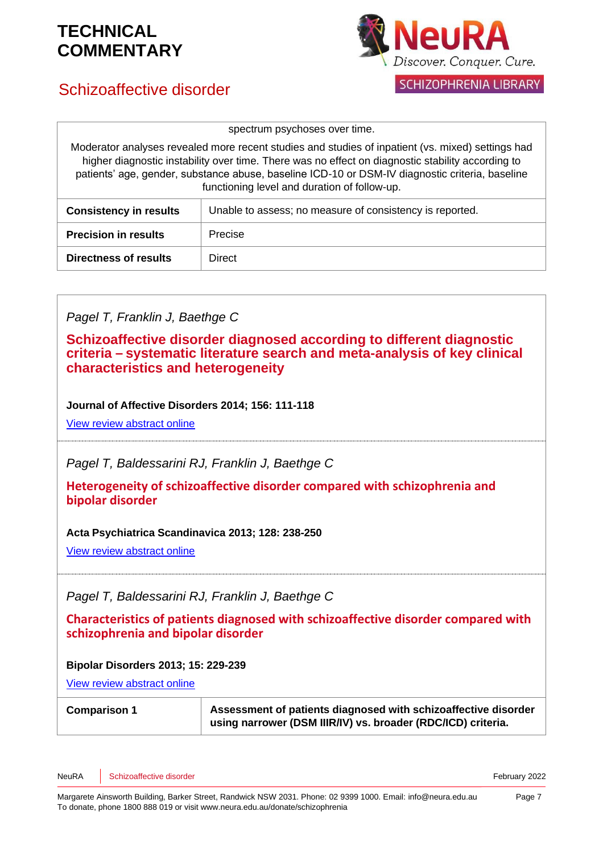## Schizoaffective disorder



|  | spectrum psychoses over time. |  |
|--|-------------------------------|--|
|  |                               |  |

Moderator analyses revealed more recent studies and studies of inpatient (vs. mixed) settings had higher diagnostic instability over time. There was no effect on diagnostic stability according to patients' age, gender, substance abuse, baseline ICD-10 or DSM-IV diagnostic criteria, baseline functioning level and duration of follow-up.

| <b>Consistency in results</b> | Unable to assess; no measure of consistency is reported. |
|-------------------------------|----------------------------------------------------------|
| <b>Precision in results</b>   | Precise                                                  |
| <b>Directness of results</b>  | Direct                                                   |

### *Pagel T, Franklin J, Baethge C*

**Schizoaffective disorder diagnosed according to different diagnostic criteria – systematic literature search and meta-analysis of key clinical characteristics and heterogeneity**

**Journal of Affective Disorders 2014; 156: 111-118**

View review [abstract](http://www.ncbi.nlm.nih.gov/pubmed/24388040) online

*Pagel T, Baldessarini RJ, Franklin J, Baethge C*

**Heterogeneity of schizoaffective disorder compared with schizophrenia and bipolar disorder**

**Acta Psychiatrica Scandinavica 2013; 128: 238-250**

View review [abstract](http://www.ncbi.nlm.nih.gov/pubmed/23465195) online

*Pagel T, Baldessarini RJ, Franklin J, Baethge C*

**Characteristics of patients diagnosed with schizoaffective disorder compared with schizophrenia and bipolar disorder**

### **Bipolar Disorders 2013; 15: 229-239**

View review [abstract](http://www.ncbi.nlm.nih.gov/pubmed/23528024) online

| <b>Comparison 1</b> | Assessment of patients diagnosed with schizoaffective disorder |
|---------------------|----------------------------------------------------------------|
|                     | using narrower (DSM IIIR/IV) vs. broader (RDC/ICD) criteria.   |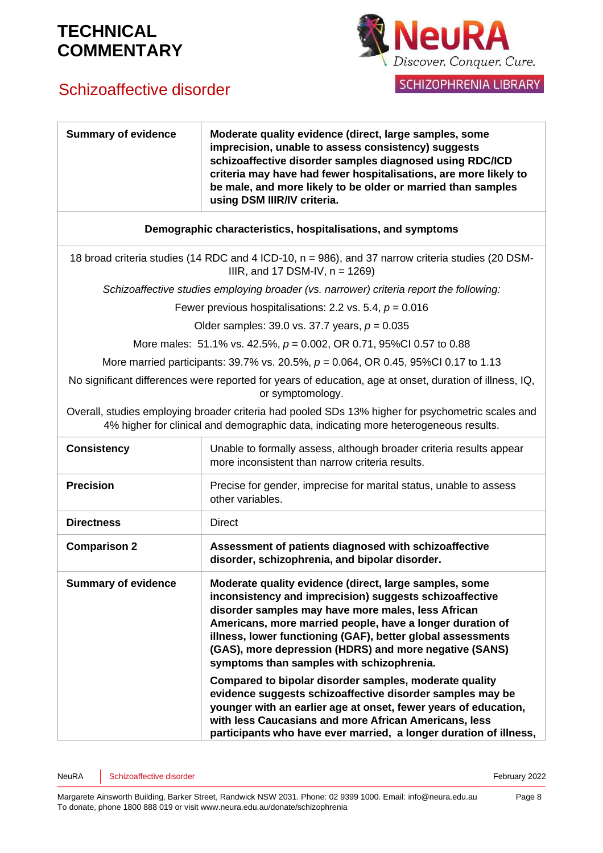## Schizoaffective disorder



| <b>Summary of evidence</b>                                                                                                  | Moderate quality evidence (direct, large samples, some<br>imprecision, unable to assess consistency) suggests<br>schizoaffective disorder samples diagnosed using RDC/ICD<br>criteria may have had fewer hospitalisations, are more likely to<br>be male, and more likely to be older or married than samples<br>using DSM IIIR/IV criteria.                                                                                                                                                                                                                                                                                                                                                                                       |
|-----------------------------------------------------------------------------------------------------------------------------|------------------------------------------------------------------------------------------------------------------------------------------------------------------------------------------------------------------------------------------------------------------------------------------------------------------------------------------------------------------------------------------------------------------------------------------------------------------------------------------------------------------------------------------------------------------------------------------------------------------------------------------------------------------------------------------------------------------------------------|
| Demographic characteristics, hospitalisations, and symptoms                                                                 |                                                                                                                                                                                                                                                                                                                                                                                                                                                                                                                                                                                                                                                                                                                                    |
|                                                                                                                             | 18 broad criteria studies (14 RDC and 4 ICD-10, n = 986), and 37 narrow criteria studies (20 DSM-<br>IIIR, and 17 DSM-IV, $n = 1269$ )                                                                                                                                                                                                                                                                                                                                                                                                                                                                                                                                                                                             |
|                                                                                                                             | Schizoaffective studies employing broader (vs. narrower) criteria report the following:                                                                                                                                                                                                                                                                                                                                                                                                                                                                                                                                                                                                                                            |
|                                                                                                                             | Fewer previous hospitalisations: 2.2 vs. 5.4, $p = 0.016$                                                                                                                                                                                                                                                                                                                                                                                                                                                                                                                                                                                                                                                                          |
|                                                                                                                             | Older samples: 39.0 vs. 37.7 years, $p = 0.035$                                                                                                                                                                                                                                                                                                                                                                                                                                                                                                                                                                                                                                                                                    |
| More males: 51.1% vs. 42.5%, p = 0.002, OR 0.71, 95%CI 0.57 to 0.88                                                         |                                                                                                                                                                                                                                                                                                                                                                                                                                                                                                                                                                                                                                                                                                                                    |
|                                                                                                                             | More married participants: 39.7% vs. 20.5%, $p = 0.064$ , OR 0.45, 95%Cl 0.17 to 1.13                                                                                                                                                                                                                                                                                                                                                                                                                                                                                                                                                                                                                                              |
| No significant differences were reported for years of education, age at onset, duration of illness, IQ,<br>or symptomology. |                                                                                                                                                                                                                                                                                                                                                                                                                                                                                                                                                                                                                                                                                                                                    |
|                                                                                                                             | Overall, studies employing broader criteria had pooled SDs 13% higher for psychometric scales and<br>4% higher for clinical and demographic data, indicating more heterogeneous results.                                                                                                                                                                                                                                                                                                                                                                                                                                                                                                                                           |
| <b>Consistency</b>                                                                                                          | Unable to formally assess, although broader criteria results appear<br>more inconsistent than narrow criteria results.                                                                                                                                                                                                                                                                                                                                                                                                                                                                                                                                                                                                             |
| <b>Precision</b>                                                                                                            | Precise for gender, imprecise for marital status, unable to assess<br>other variables.                                                                                                                                                                                                                                                                                                                                                                                                                                                                                                                                                                                                                                             |
| <b>Directness</b>                                                                                                           | <b>Direct</b>                                                                                                                                                                                                                                                                                                                                                                                                                                                                                                                                                                                                                                                                                                                      |
| <b>Comparison 2</b>                                                                                                         | Assessment of patients diagnosed with schizoaffective<br>disorder, schizophrenia, and bipolar disorder.                                                                                                                                                                                                                                                                                                                                                                                                                                                                                                                                                                                                                            |
| <b>Summary of evidence</b>                                                                                                  | Moderate quality evidence (direct, large samples, some<br>inconsistency and imprecision) suggests schizoaffective<br>disorder samples may have more males, less African<br>Americans, more married people, have a longer duration of<br>illness, lower functioning (GAF), better global assessments<br>(GAS), more depression (HDRS) and more negative (SANS)<br>symptoms than samples with schizophrenia.<br>Compared to bipolar disorder samples, moderate quality<br>evidence suggests schizoaffective disorder samples may be<br>younger with an earlier age at onset, fewer years of education,<br>with less Caucasians and more African Americans, less<br>participants who have ever married, a longer duration of illness, |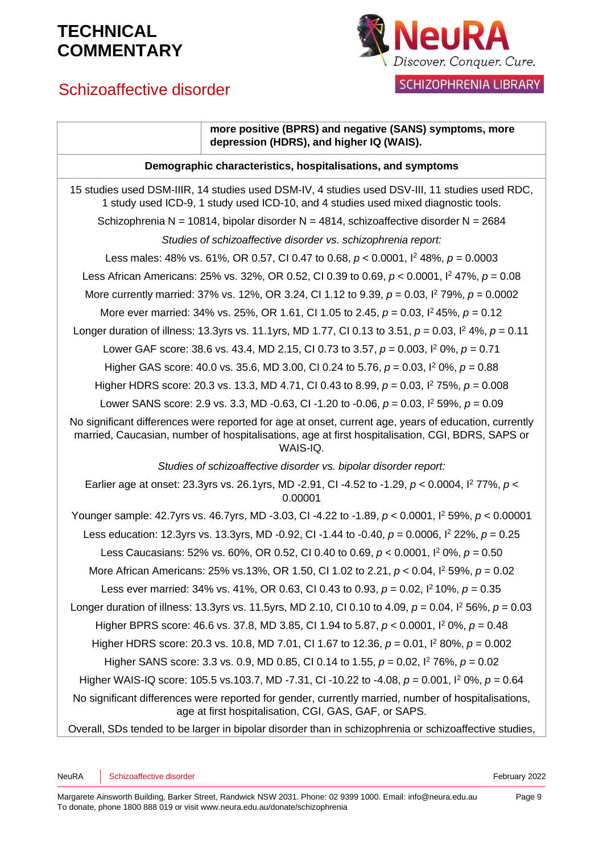



| more positive (BPRS) and negative (SANS) symptoms, more<br>depression (HDRS), and higher IQ (WAIS).                                                                                                                   |  |  |
|-----------------------------------------------------------------------------------------------------------------------------------------------------------------------------------------------------------------------|--|--|
| Demographic characteristics, hospitalisations, and symptoms                                                                                                                                                           |  |  |
| 15 studies used DSM-IIIR, 14 studies used DSM-IV, 4 studies used DSV-III, 11 studies used RDC,<br>1 study used ICD-9, 1 study used ICD-10, and 4 studies used mixed diagnostic tools.                                 |  |  |
| Schizophrenia N = 10814, bipolar disorder N = 4814, schizoaffective disorder N = 2684                                                                                                                                 |  |  |
| Studies of schizoaffective disorder vs. schizophrenia report:                                                                                                                                                         |  |  |
| Less males: 48% vs. 61%, OR 0.57, CI 0.47 to 0.68, $p < 0.0001$ , $\frac{12}{3}$ 48%, $p = 0.0003$                                                                                                                    |  |  |
| Less African Americans: 25% vs. 32%, OR 0.52, CI 0.39 to 0.69, $p < 0.0001$ , $l^2$ 47%, $p = 0.08$                                                                                                                   |  |  |
| More currently married: 37% vs. 12%, OR 3.24, CI 1.12 to 9.39, $p = 0.03$ , $l^2$ 79%, $p = 0.0002$                                                                                                                   |  |  |
| More ever married: 34% vs. 25%, OR 1.61, CI 1.05 to 2.45, $p = 0.03$ , $1^2 45\%$ , $p = 0.12$                                                                                                                        |  |  |
| Longer duration of illness: 13.3yrs vs. 11.1yrs, MD 1.77, CI 0.13 to 3.51, $p = 0.03$ , $\frac{12}{9}$ , $p = 0.11$                                                                                                   |  |  |
| Lower GAF score: 38.6 vs. 43.4, MD 2.15, CI 0.73 to 3.57, $p = 0.003$ , $l^2$ 0%, $p = 0.71$                                                                                                                          |  |  |
| Higher GAS score: 40.0 vs. 35.6, MD 3.00, CI 0.24 to 5.76, $p = 0.03$ , $1^2$ 0%, $p = 0.88$                                                                                                                          |  |  |
| Higher HDRS score: 20.3 vs. 13.3, MD 4.71, CI 0.43 to 8.99, $p = 0.03$ , $1^2$ 75%, $p = 0.008$                                                                                                                       |  |  |
| Lower SANS score: 2.9 vs. 3.3, MD -0.63, CI -1.20 to -0.06, $p = 0.03$ , $\frac{1}{2}$ 59%, $p = 0.09$                                                                                                                |  |  |
| No significant differences were reported for age at onset, current age, years of education, currently<br>married, Caucasian, number of hospitalisations, age at first hospitalisation, CGI, BDRS, SAPS or<br>WAIS-IQ. |  |  |
| Studies of schizoaffective disorder vs. bipolar disorder report:                                                                                                                                                      |  |  |
| Earlier age at onset: 23.3yrs vs. 26.1yrs, MD -2.91, CI -4.52 to -1.29, $p < 0.0004$ , $12$ 77%, $p <$<br>0.00001                                                                                                     |  |  |
| Younger sample: 42.7yrs vs. 46.7yrs, MD -3.03, CI -4.22 to -1.89, $p < 0.0001$ , $l^2$ 59%, $p < 0.00001$                                                                                                             |  |  |
| Less education: 12.3yrs vs. 13.3yrs, MD -0.92, CI -1.44 to -0.40, $p = 0.0006$ , $l^2 22\%$ , $p = 0.25$                                                                                                              |  |  |
| Less Caucasians: 52% vs. 60%, OR 0.52, CI 0.40 to 0.69, $p < 0.0001$ , $\frac{120}{s}$ , $p = 0.50$                                                                                                                   |  |  |
| More African Americans: 25% vs.13%, OR 1.50, CI 1.02 to 2.21, $p < 0.04$ , $l^2$ 59%, $p = 0.02$                                                                                                                      |  |  |
| Less ever married: 34% vs. 41%, OR 0.63, CI 0.43 to 0.93, $p = 0.02$ , $\frac{1}{2}$ 10%, $p = 0.35$                                                                                                                  |  |  |
| Longer duration of illness: 13.3yrs vs. 11.5yrs, MD 2.10, CI 0.10 to 4.09, $p = 0.04$ , $\frac{1}{2}$ 56%, $p = 0.03$                                                                                                 |  |  |
| Higher BPRS score: 46.6 vs. 37.8, MD 3.85, CI 1.94 to 5.87, $p < 0.0001$ , $\frac{12}{12}$ 0%, $p = 0.48$                                                                                                             |  |  |
| Higher HDRS score: 20.3 vs. 10.8, MD 7.01, CI 1.67 to 12.36, $p = 0.01$ , $\frac{1^2}{1^2}$ 80%, $p = 0.002$                                                                                                          |  |  |
| Higher SANS score: 3.3 vs. 0.9, MD 0.85, CI 0.14 to 1.55, $p = 0.02$ , $\frac{1^2}{76\%}$ , $p = 0.02$                                                                                                                |  |  |
| Higher WAIS-IQ score: 105.5 vs.103.7, MD -7.31, CI -10.22 to -4.08, $p = 0.001$ , $\frac{12}{9\%}$ , $p = 0.64$                                                                                                       |  |  |
| No significant differences were reported for gender, currently married, number of hospitalisations,<br>age at first hospitalisation, CGI, GAS, GAF, or SAPS.                                                          |  |  |
| Querall, SDe tended to be lerger in binoler disorder than in sobjectbranic or sobjectfrotive otudion                                                                                                                  |  |  |

Overall, SDs tended to be larger in bipolar disorder than in schizophrenia or schizoaffective studies,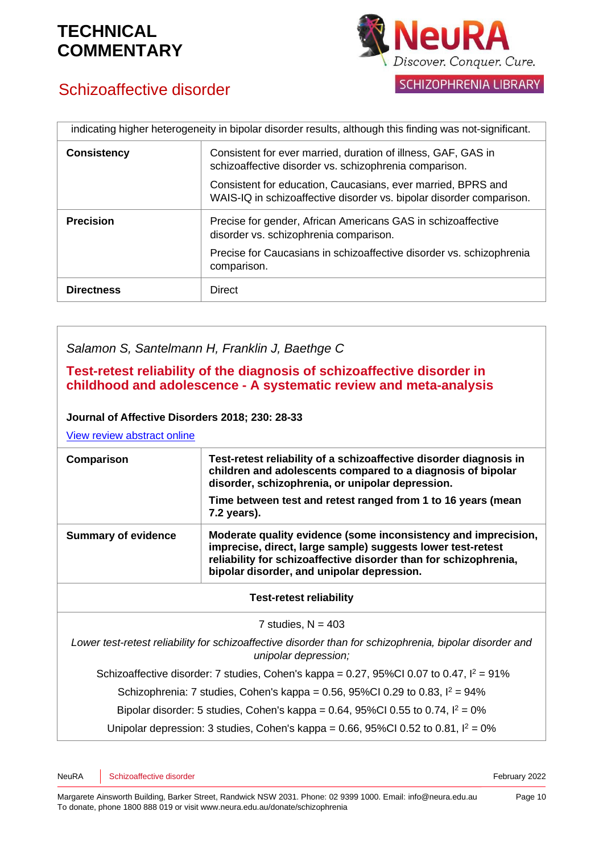



| indicating higher heterogeneity in bipolar disorder results, although this finding was not-significant. |                                                                                                                                      |
|---------------------------------------------------------------------------------------------------------|--------------------------------------------------------------------------------------------------------------------------------------|
| <b>Consistency</b>                                                                                      | Consistent for ever married, duration of illness, GAF, GAS in<br>schizoaffective disorder vs. schizophrenia comparison.              |
|                                                                                                         | Consistent for education, Caucasians, ever married, BPRS and<br>WAIS-IQ in schizoaffective disorder vs. bipolar disorder comparison. |
| <b>Precision</b>                                                                                        | Precise for gender, African Americans GAS in schizoaffective<br>disorder vs. schizophrenia comparison.                               |
|                                                                                                         | Precise for Caucasians in schizoaffective disorder vs. schizophrenia<br>comparison.                                                  |
| <b>Directness</b>                                                                                       | <b>Direct</b>                                                                                                                        |

*Salamon S, Santelmann H, Franklin J, Baethge C*

**Test-retest reliability of the diagnosis of schizoaffective disorder in childhood and adolescence - A systematic review and meta-analysis**

#### **Journal of Affective Disorders 2018; 230: 28-33**

View review [abstract](https://www.ncbi.nlm.nih.gov/pubmed/29360577) online

| Comparison                 | Test-retest reliability of a schizoaffective disorder diagnosis in<br>children and adolescents compared to a diagnosis of bipolar<br>disorder, schizophrenia, or unipolar depression.<br>Time between test and retest ranged from 1 to 16 years (mean<br>7.2 years). |
|----------------------------|----------------------------------------------------------------------------------------------------------------------------------------------------------------------------------------------------------------------------------------------------------------------|
| <b>Summary of evidence</b> | Moderate quality evidence (some inconsistency and imprecision,<br>imprecise, direct, large sample) suggests lower test-retest<br>reliability for schizoaffective disorder than for schizophrenia,<br>bipolar disorder, and unipolar depression.                      |

#### **Test-retest reliability**

7 studies,  $N = 403$ 

*Lower test-retest reliability for schizoaffective disorder than for schizophrenia, bipolar disorder and unipolar depression;*

Schizoaffective disorder: 7 studies, Cohen's kappa = 0.27, 95%CI 0.07 to 0.47,  $I^2 = 91\%$ 

Schizophrenia: 7 studies, Cohen's kappa = 0.56, 95%Cl 0.29 to 0.83,  $I^2 = 94\%$ 

Bipolar disorder: 5 studies, Cohen's kappa = 0.64, 95%Cl 0.55 to 0.74,  $I^2 = 0%$ 

Unipolar depression: 3 studies, Cohen's kappa =  $0.66$ , 95%Cl 0.52 to 0.81,  $I^2 = 0%$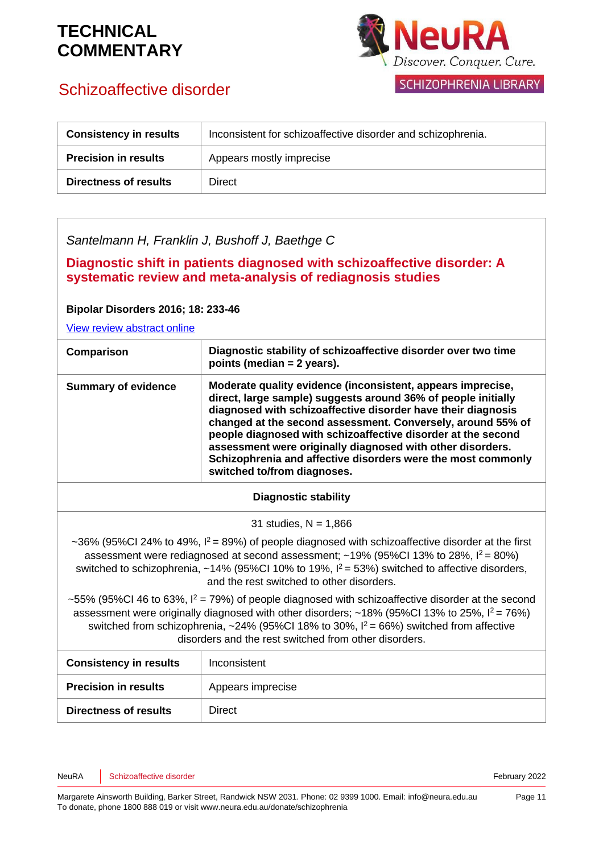

## Schizoaffective disorder

| <b>Consistency in results</b> | Inconsistent for schizoaffective disorder and schizophrenia. |
|-------------------------------|--------------------------------------------------------------|
| <b>Precision in results</b>   | Appears mostly imprecise                                     |
| <b>Directness of results</b>  | Direct                                                       |

### *Santelmann H, Franklin J, Bushoff J, Baethge C*

**Diagnostic shift in patients diagnosed with schizoaffective disorder: A systematic review and meta-analysis of rediagnosis studies**

#### **Bipolar Disorders 2016; 18: 233-46**

View review [abstract](https://www.ncbi.nlm.nih.gov/pubmed/27226263) online

| Comparison                 | Diagnostic stability of schizoaffective disorder over two time<br>points (median $= 2$ years).                                                                                                                                                                                                                                                                                                                                                                                           |
|----------------------------|------------------------------------------------------------------------------------------------------------------------------------------------------------------------------------------------------------------------------------------------------------------------------------------------------------------------------------------------------------------------------------------------------------------------------------------------------------------------------------------|
| <b>Summary of evidence</b> | Moderate quality evidence (inconsistent, appears imprecise,<br>direct, large sample) suggests around 36% of people initially<br>diagnosed with schizoaffective disorder have their diagnosis<br>changed at the second assessment. Conversely, around 55% of<br>people diagnosed with schizoaffective disorder at the second<br>assessment were originally diagnosed with other disorders.<br>Schizophrenia and affective disorders were the most commonly<br>switched to/from diagnoses. |

#### **Diagnostic stability**

31 studies,  $N = 1,866$ 

~36% (95%CI 24% to 49%,  $I^2 = 89$ %) of people diagnosed with schizoaffective disorder at the first assessment were rediagnosed at second assessment;  $~19\%$  (95%Cl 13% to 28%,  $I^2 = 80\%$ ) switched to schizophrenia,  $~14\%$  (95%CI 10% to 19%,  $I^2 = 53\%$ ) switched to affective disorders, and the rest switched to other disorders.

 $\sim$ 55% (95%CI 46 to 63%,  $I^2$  = 79%) of people diagnosed with schizoaffective disorder at the second assessment were originally diagnosed with other disorders;  $~18\%$  (95%Cl 13% to 25%,  $I^2 = 76\%)$ switched from schizophrenia,  $\sim$ 24% (95%CI 18% to 30%,  $I^2 = 66\%$ ) switched from affective disorders and the rest switched from other disorders.

| <b>Consistency in results</b> | Inconsistent      |
|-------------------------------|-------------------|
| <b>Precision in results</b>   | Appears imprecise |
| <b>Directness of results</b>  | Direct            |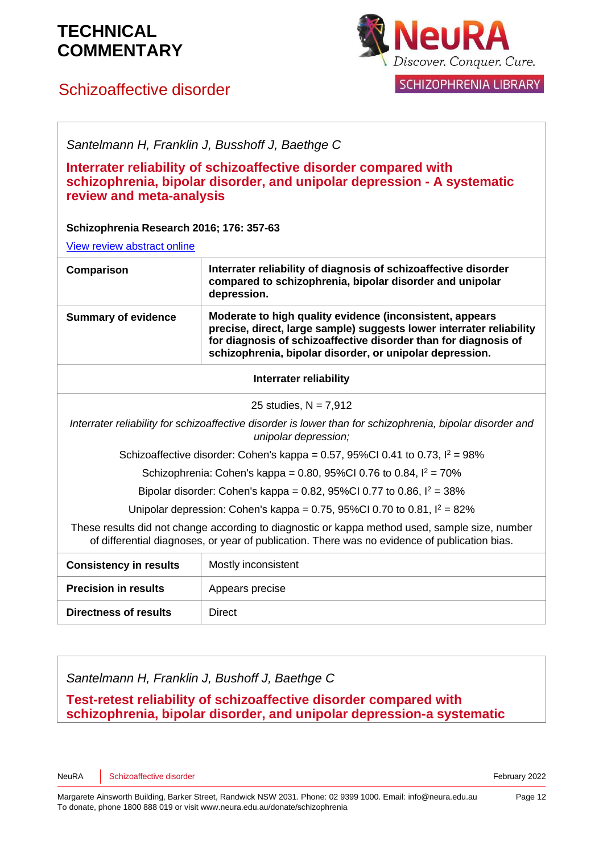### Schizoaffective disorder



**SCHIZOPHRENIA LIBRARY** 

*Santelmann H, Franklin J, Busshoff J, Baethge C*

**Interrater reliability of schizoaffective disorder compared with schizophrenia, bipolar disorder, and unipolar depression - A systematic review and meta-analysis**

**Schizophrenia Research 2016; 176: 357-63**

View review [abstract](https://www.ncbi.nlm.nih.gov/pubmed/27461400) online

| Comparison                 | Interrater reliability of diagnosis of schizoaffective disorder<br>compared to schizophrenia, bipolar disorder and unipolar<br>depression.                                                                                                                      |
|----------------------------|-----------------------------------------------------------------------------------------------------------------------------------------------------------------------------------------------------------------------------------------------------------------|
| <b>Summary of evidence</b> | Moderate to high quality evidence (inconsistent, appears<br>precise, direct, large sample) suggests lower interrater reliability<br>for diagnosis of schizoaffective disorder than for diagnosis of<br>schizophrenia, bipolar disorder, or unipolar depression. |

### **Interrater reliability**

25 studies,  $N = 7,912$ 

*Interrater reliability for schizoaffective disorder is lower than for schizophrenia, bipolar disorder and unipolar depression;*

Schizoaffective disorder: Cohen's kappa = 0.57, 95%Cl 0.41 to 0.73,  $I^2 = 98\%$ 

Schizophrenia: Cohen's kappa = 0.80, 95%Cl 0.76 to 0.84,  $I^2 = 70\%$ 

Bipolar disorder: Cohen's kappa = 0.82, 95%Cl 0.77 to 0.86,  $l^2 = 38\%$ 

Unipolar depression: Cohen's kappa = 0.75, 95%Cl 0.70 to 0.81,  $I^2 = 82\%$ 

These results did not change according to diagnostic or kappa method used, sample size, number of differential diagnoses, or year of publication. There was no evidence of publication bias.

| <b>Consistency in results</b> | Mostly inconsistent |
|-------------------------------|---------------------|
| <b>Precision in results</b>   | Appears precise     |
| <b>Directness of results</b>  | Direct              |

*Santelmann H, Franklin J, Bushoff J, Baethge C*

**Test-retest reliability of schizoaffective disorder compared with schizophrenia, bipolar disorder, and unipolar depression-a systematic**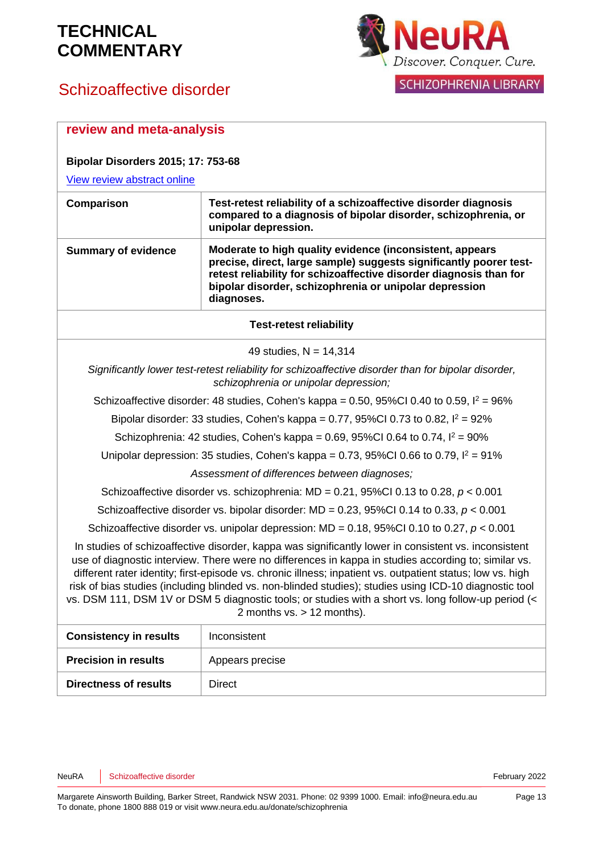## Schizoaffective disorder



| review and meta-analysis<br><b>Bipolar Disorders 2015; 17: 753-68</b>                                                                                                                                                                                                                                                                                                                                                                                                                                                                                                       |                                                                                                                                                                                                                                                                              |  |
|-----------------------------------------------------------------------------------------------------------------------------------------------------------------------------------------------------------------------------------------------------------------------------------------------------------------------------------------------------------------------------------------------------------------------------------------------------------------------------------------------------------------------------------------------------------------------------|------------------------------------------------------------------------------------------------------------------------------------------------------------------------------------------------------------------------------------------------------------------------------|--|
|                                                                                                                                                                                                                                                                                                                                                                                                                                                                                                                                                                             |                                                                                                                                                                                                                                                                              |  |
| Comparison                                                                                                                                                                                                                                                                                                                                                                                                                                                                                                                                                                  | Test-retest reliability of a schizoaffective disorder diagnosis<br>compared to a diagnosis of bipolar disorder, schizophrenia, or<br>unipolar depression.                                                                                                                    |  |
| <b>Summary of evidence</b>                                                                                                                                                                                                                                                                                                                                                                                                                                                                                                                                                  | Moderate to high quality evidence (inconsistent, appears<br>precise, direct, large sample) suggests significantly poorer test-<br>retest reliability for schizoaffective disorder diagnosis than for<br>bipolar disorder, schizophrenia or unipolar depression<br>diagnoses. |  |
| <b>Test-retest reliability</b>                                                                                                                                                                                                                                                                                                                                                                                                                                                                                                                                              |                                                                                                                                                                                                                                                                              |  |
|                                                                                                                                                                                                                                                                                                                                                                                                                                                                                                                                                                             | 49 studies, $N = 14,314$                                                                                                                                                                                                                                                     |  |
| Significantly lower test-retest reliability for schizoaffective disorder than for bipolar disorder,<br>schizophrenia or unipolar depression;                                                                                                                                                                                                                                                                                                                                                                                                                                |                                                                                                                                                                                                                                                                              |  |
|                                                                                                                                                                                                                                                                                                                                                                                                                                                                                                                                                                             | Schizoaffective disorder: 48 studies, Cohen's kappa = 0.50, 95%Cl 0.40 to 0.59, $I^2 = 96\%$                                                                                                                                                                                 |  |
|                                                                                                                                                                                                                                                                                                                                                                                                                                                                                                                                                                             | Bipolar disorder: 33 studies, Cohen's kappa = 0.77, 95%Cl 0.73 to 0.82, $1^2$ = 92%                                                                                                                                                                                          |  |
|                                                                                                                                                                                                                                                                                                                                                                                                                                                                                                                                                                             | Schizophrenia: 42 studies, Cohen's kappa = 0.69, 95%Cl 0.64 to 0.74, $l^2 = 90\%$                                                                                                                                                                                            |  |
|                                                                                                                                                                                                                                                                                                                                                                                                                                                                                                                                                                             | Unipolar depression: 35 studies, Cohen's kappa = 0.73, 95%Cl 0.66 to 0.79, $I^2 = 91\%$                                                                                                                                                                                      |  |
|                                                                                                                                                                                                                                                                                                                                                                                                                                                                                                                                                                             | Assessment of differences between diagnoses;                                                                                                                                                                                                                                 |  |
|                                                                                                                                                                                                                                                                                                                                                                                                                                                                                                                                                                             | Schizoaffective disorder vs. schizophrenia: MD = $0.21$ , 95%Cl 0.13 to 0.28, $p < 0.001$                                                                                                                                                                                    |  |
|                                                                                                                                                                                                                                                                                                                                                                                                                                                                                                                                                                             | Schizoaffective disorder vs. bipolar disorder: $MD = 0.23$ , 95%Cl 0.14 to 0.33, $p < 0.001$                                                                                                                                                                                 |  |
| Schizoaffective disorder vs. unipolar depression: $MD = 0.18$ , 95%Cl 0.10 to 0.27, $p < 0.001$                                                                                                                                                                                                                                                                                                                                                                                                                                                                             |                                                                                                                                                                                                                                                                              |  |
| In studies of schizoaffective disorder, kappa was significantly lower in consistent vs. inconsistent<br>use of diagnostic interview. There were no differences in kappa in studies according to; similar vs.<br>different rater identity; first-episode vs. chronic illness; inpatient vs. outpatient status; low vs. high<br>risk of bias studies (including blinded vs. non-blinded studies); studies using ICD-10 diagnostic tool<br>vs. DSM 111, DSM 1V or DSM 5 diagnostic tools; or studies with a short vs. long follow-up period (<<br>2 months $vs. > 12$ months). |                                                                                                                                                                                                                                                                              |  |
| <b>Consistency in results</b>                                                                                                                                                                                                                                                                                                                                                                                                                                                                                                                                               | Inconsistent                                                                                                                                                                                                                                                                 |  |
| <b>Precision in results</b>                                                                                                                                                                                                                                                                                                                                                                                                                                                                                                                                                 | Appears precise                                                                                                                                                                                                                                                              |  |
| <b>Directness of results</b>                                                                                                                                                                                                                                                                                                                                                                                                                                                                                                                                                | <b>Direct</b>                                                                                                                                                                                                                                                                |  |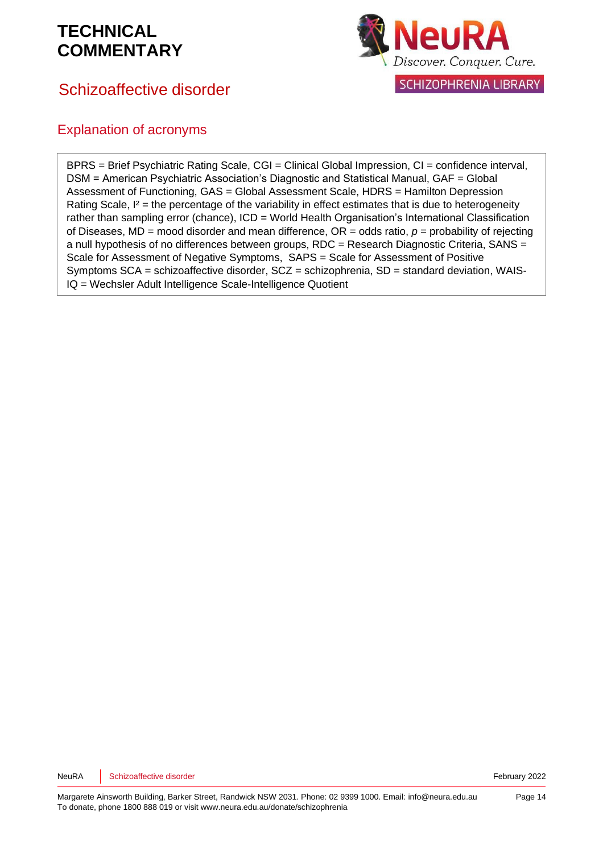



### Explanation of acronyms

BPRS = Brief Psychiatric Rating Scale, CGI = Clinical Global Impression, CI = confidence interval, DSM = American Psychiatric Association's Diagnostic and Statistical Manual, GAF = Global Assessment of Functioning, GAS = Global Assessment Scale, HDRS = Hamilton Depression Rating Scale,  $I^2$  = the percentage of the variability in effect estimates that is due to heterogeneity rather than sampling error (chance), ICD = World Health Organisation's International Classification of Diseases, MD = mood disorder and mean difference, OR = odds ratio, *p* = probability of rejecting a null hypothesis of no differences between groups, RDC = Research Diagnostic Criteria, SANS = Scale for Assessment of Negative Symptoms, SAPS = Scale for Assessment of Positive Symptoms SCA = schizoaffective disorder, SCZ = schizophrenia, SD = standard deviation, WAIS-IQ = Wechsler Adult Intelligence Scale-Intelligence Quotient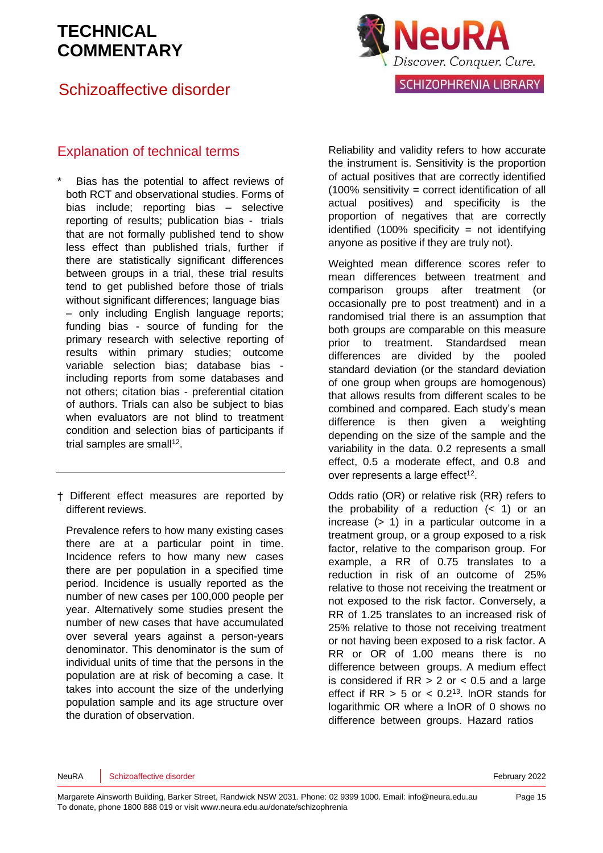### Schizoaffective disorder



### Explanation of technical terms

- Bias has the potential to affect reviews of both RCT and observational studies. Forms of bias include; reporting bias – selective reporting of results; publication bias - trials that are not formally published tend to show less effect than published trials, further if there are statistically significant differences between groups in a trial, these trial results tend to get published before those of trials without significant differences; language bias – only including English language reports; funding bias - source of funding for the primary research with selective reporting of results within primary studies; outcome variable selection bias; database bias including reports from some databases and not others; citation bias - preferential citation of authors. Trials can also be subject to bias when evaluators are not blind to treatment condition and selection bias of participants if trial samples are small<sup>12</sup>.
- † Different effect measures are reported by different reviews.

Prevalence refers to how many existing cases there are at a particular point in time. Incidence refers to how many new cases there are per population in a specified time period. Incidence is usually reported as the number of new cases per 100,000 people per year. Alternatively some studies present the number of new cases that have accumulated over several years against a person-years denominator. This denominator is the sum of individual units of time that the persons in the population are at risk of becoming a case. It takes into account the size of the underlying population sample and its age structure over the duration of observation.

Reliability and validity refers to how accurate the instrument is. Sensitivity is the proportion of actual positives that are correctly identified  $(100\%$  sensitivity = correct identification of all actual positives) and specificity is the proportion of negatives that are correctly identified (100% specificity = not identifying anyone as positive if they are truly not).

Weighted mean difference scores refer to mean differences between treatment and comparison groups after treatment (or occasionally pre to post treatment) and in a randomised trial there is an assumption that both groups are comparable on this measure prior to treatment. Standardsed mean differences are divided by the pooled standard deviation (or the standard deviation of one group when groups are homogenous) that allows results from different scales to be combined and compared. Each study's mean difference is then given a weighting depending on the size of the sample and the variability in the data. 0.2 represents a small effect, 0.5 a moderate effect, and 0.8 and over represents a large effect $12$ .

Odds ratio (OR) or relative risk (RR) refers to the probability of a reduction  $( $1$ )$  or an increase (> 1) in a particular outcome in a treatment group, or a group exposed to a risk factor, relative to the comparison group. For example, a RR of 0.75 translates to a reduction in risk of an outcome of 25% relative to those not receiving the treatment or not exposed to the risk factor. Conversely, a RR of 1.25 translates to an increased risk of 25% relative to those not receiving treatment or not having been exposed to a risk factor. A RR or OR of 1.00 means there is no difference between groups. A medium effect is considered if  $RR > 2$  or  $< 0.5$  and a large effect if  $RR > 5$  or  $< 0.2<sup>13</sup>$ . InOR stands for logarithmic OR where a lnOR of 0 shows no difference between groups. Hazard ratios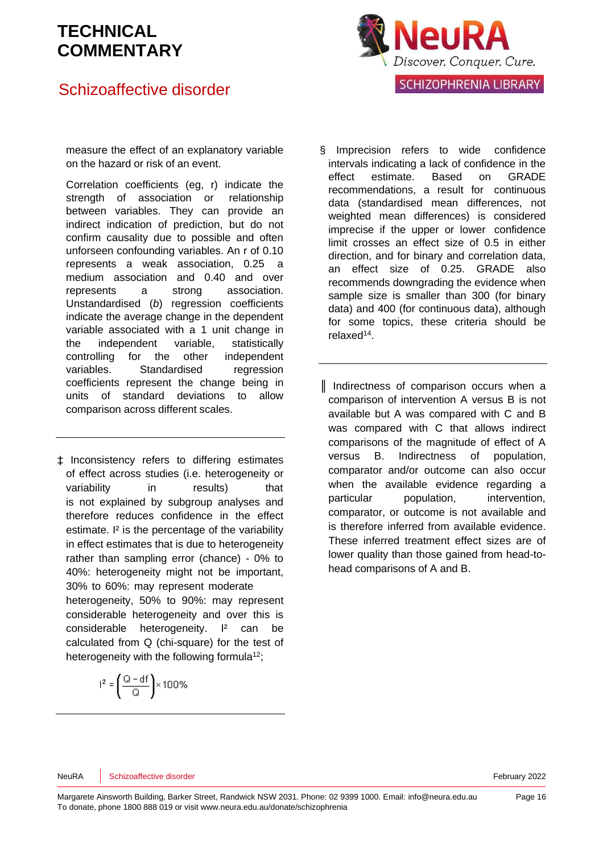### Schizoaffective disorder



measure the effect of an explanatory variable on the hazard or risk of an event.

Correlation coefficients (eg, r) indicate the strength of association or relationship between variables. They can provide an indirect indication of prediction, but do not confirm causality due to possible and often unforseen confounding variables. An r of 0.10 represents a weak association, 0.25 a medium association and 0.40 and over represents a strong association. Unstandardised (*b*) regression coefficients indicate the average change in the dependent variable associated with a 1 unit change in the independent variable, statistically controlling for the other independent variables. Standardised regression coefficients represent the change being in units of standard deviations to allow comparison across different scales.

‡ Inconsistency refers to differing estimates of effect across studies (i.e. heterogeneity or variability in results) that is not explained by subgroup analyses and therefore reduces confidence in the effect estimate. I<sup>2</sup> is the percentage of the variability in effect estimates that is due to heterogeneity rather than sampling error (chance) - 0% to 40%: heterogeneity might not be important, 30% to 60%: may represent moderate heterogeneity, 50% to 90%: may represent considerable heterogeneity and over this is considerable heterogeneity. I² can be calculated from Q (chi-square) for the test of heterogeneity with the following formula<sup>12</sup>;

$$
l^2=\left(\frac{Q-df}{Q}\right)\times 100\%
$$

- § Imprecision refers to wide confidence intervals indicating a lack of confidence in the effect estimate. Based on GRADE recommendations, a result for continuous data (standardised mean differences, not weighted mean differences) is considered imprecise if the upper or lower confidence limit crosses an effect size of 0.5 in either direction, and for binary and correlation data, an effect size of 0.25. GRADE also recommends downgrading the evidence when sample size is smaller than 300 (for binary data) and 400 (for continuous data), although for some topics, these criteria should be relaxed<sup>14</sup> .
- ║ Indirectness of comparison occurs when a comparison of intervention A versus B is not available but A was compared with C and B was compared with C that allows indirect comparisons of the magnitude of effect of A versus B. Indirectness of population, comparator and/or outcome can also occur when the available evidence regarding a particular population, intervention, comparator, or outcome is not available and is therefore inferred from available evidence. These inferred treatment effect sizes are of lower quality than those gained from head-tohead comparisons of A and B.